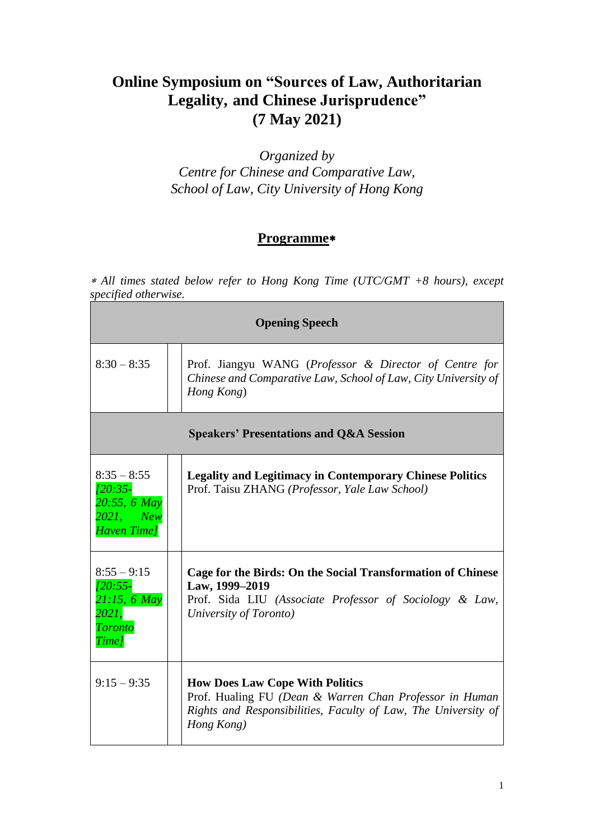## **Online Symposium on "Sources of Law, Authoritarian Legality, and Chinese Jurisprudence" (7 May 2021)**

*Organized by Centre for Chinese and Comparative Law, School of Law, City University of Hong Kong*

## **Programme**

 *All times stated below refer to Hong Kong Time (UTC/GMT +8 hours), except specified otherwise.*

| <b>Opening Speech</b>                                                            |  |                                                                                                                                                                                   |
|----------------------------------------------------------------------------------|--|-----------------------------------------------------------------------------------------------------------------------------------------------------------------------------------|
| $8:30 - 8:35$                                                                    |  | Prof. Jiangyu WANG (Professor & Director of Centre for<br>Chinese and Comparative Law, School of Law, City University of<br>Hong Kong)                                            |
|                                                                                  |  | <b>Speakers' Presentations and Q&amp;A Session</b>                                                                                                                                |
| $8:35 - 8:55$<br>$120:35-$<br>$20:55, 6$ May<br>2021, New<br><b>Haven Time</b> ] |  | <b>Legality and Legitimacy in Contemporary Chinese Politics</b><br>Prof. Taisu ZHANG (Professor, Yale Law School)                                                                 |
| $8:55 - 9:15$<br>$120:55-$<br>$21:15, 6$ May<br>2021,<br><b>Toronto</b><br>Time] |  | Cage for the Birds: On the Social Transformation of Chinese<br>Law, 1999-2019<br>Prof. Sida LIU (Associate Professor of Sociology & Law,<br>University of Toronto)                |
| $9:15 - 9:35$                                                                    |  | <b>How Does Law Cope With Politics</b><br>Prof. Hualing FU (Dean & Warren Chan Professor in Human<br>Rights and Responsibilities, Faculty of Law, The University of<br>Hong Kong) |